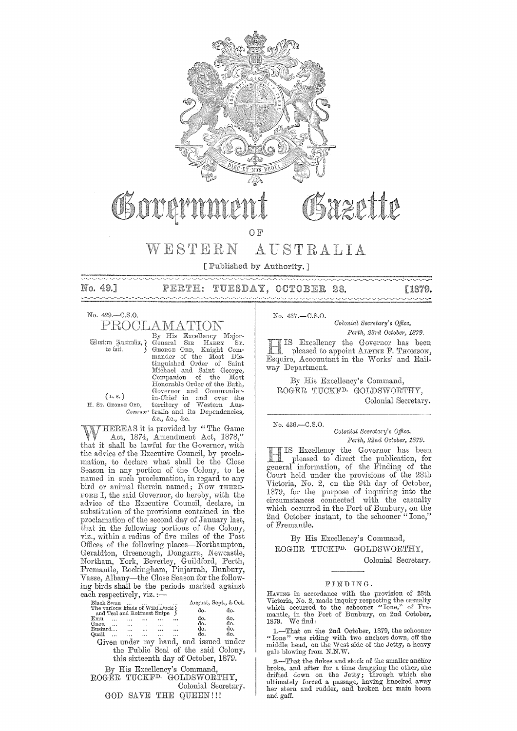

OF<sup></sup>

#### AUSTRALIA WESTERN

[Published by Authority.]

PERTH: TUESDAY, OCTOBER 28.

Saint

[1879.  $\sim$ 

No. 429.-C.S.O. PROCLAMATION

No. 49.7

<u>innin</u>

By His Excellency Major-Ceneral SIR HARRY Sr.<br>General SIR HARRY Sr.<br>General SIR Khaght Com-<br>mander of the Most Dis-<br>tinguished Order of Saint

Western Justralia, ¿ to wit.

 $(L, s, )$ H. Sr. Gronge Ord,

Entenaet and same George,<br>Companion of the Most<br>Honorable Order of the Bash,<br>Governor and Commander-<br>in-Chief in and over the<br>EQED, territory of Western Aus-<br>Governor train and its Dependencies, &c., &c., &c.

Michael and Saint George,

THEREAS it is provided by "The Game" Act, 1874, Amendment Act, 1878," that it shall be lawful for the Governor, with the advice of the Executive Council, by proclamation, to declare what shall be the Close Season in any portion of the Colony, to be named in such proclamation, in regard to any<br>bird or animal therein named; Now THERE-FORE I, the said Governor, do hereby, with the advice of the Executive Council, declare, in substitution of the provisions contained in the proclamation of the second day of January last, that in the following portions of the Colony, viz., within a radius of five miles of the Post Offices of the following places—Northampton,<br>Geraldton, Greenough, Dongarra, Newcastle,<br>Northam, York, Beverley, Guildford, Perth,<br>Fremantle, Rockingham, Finjarrah, Bunbury, Vasse, Albany-the Close Season for the following birds shall be the periods marked against each respectively, viz.:-

| Black Swan                      |        |          |                                                                                                                                                                                                                                |                             |           | August, Sept., & Oct.                  |     |
|---------------------------------|--------|----------|--------------------------------------------------------------------------------------------------------------------------------------------------------------------------------------------------------------------------------|-----------------------------|-----------|----------------------------------------|-----|
| The various kinds of Wild Duck? |        |          |                                                                                                                                                                                                                                |                             |           | do.                                    | do. |
|                                 |        |          |                                                                                                                                                                                                                                | and Teal and Rottnest Snipe | S         |                                        |     |
| $_{\rm Emu}$                    |        |          |                                                                                                                                                                                                                                |                             |           | do.                                    | äо. |
| Gnou                            |        |          |                                                                                                                                                                                                                                |                             | $\ddotsc$ | do.                                    | do. |
| Bustard                         |        |          | and the contract of the contract of the contract of the contract of the contract of the contract of the contract of the contract of the contract of the contract of the contract of the contract of the contract of the contra |                             |           | do.                                    | do. |
| Quail                           | $\sim$ | $\cdots$ | $\cdots$                                                                                                                                                                                                                       |                             | $\cdots$  | do.                                    | do. |
|                                 |        |          |                                                                                                                                                                                                                                |                             |           | Given under my hand, and issued under  |     |
|                                 |        |          |                                                                                                                                                                                                                                |                             |           | the Public Seal of the said Colony,    |     |
|                                 |        |          |                                                                                                                                                                                                                                |                             |           | this sixteenth day of October, 1879.   |     |
|                                 |        |          |                                                                                                                                                                                                                                |                             |           | By His Excellency's Command,           |     |
|                                 |        |          |                                                                                                                                                                                                                                |                             |           |                                        |     |
|                                 |        |          |                                                                                                                                                                                                                                |                             |           | ROGER TUCKF <sup>D.</sup> GOLDSWORTHY, |     |
|                                 |        |          |                                                                                                                                                                                                                                |                             |           | Colonial Secretary.                    |     |
|                                 |        |          |                                                                                                                                                                                                                                |                             |           | GOD SAVE THE QUEEN!!!                  |     |
|                                 |        |          |                                                                                                                                                                                                                                |                             |           |                                        |     |

 $No. 437 - C.S.O.$ 

Colonial Secretary's Office, Perth, 23rd October, 1879.

IS Excellency the Governor has been pleased to appoint ALPINE F. THOMSON, Esquire, Accountant in the Works' and Railway Department.

By His Excellency's Command, ROGER TUCKF<sup>D</sup> GOLDSWORTHY, Colonial Secretary.

No. 436 .- C.S.O.

Colonial Secretary's Office, Perth, 22nd October, 1879.

IIS Excellency the Governor has been<br>pleased to direct the publication, for<br>general information, of the Finding of the Court held under the provisions of the 28th Victoria, No. 2, on the 9th day of October, 1879, for the purpose of inquiring into the circumstances connected with the casualty which occurred in the Port of Bunbury, on the 2nd October instant, to the schooner "Ione," of Fremantle.

By His Excellency's Command, ROGER TUCKF<sup>D.</sup> GOLDSWORTHY.

Colonial Secretary.

#### FINDING.

HAVING in accordance with the provision of 28th Victoria, No. 2, made inquiry respecting the casualty<br>which occurred to the schooner "Ione," of Fre-<br>mantle, in the Port of Bunbury, on 2nd October,<br>1879. We find:

1.—That on the 2nd October, 1879, the schooner "Ione" was riding with two anchors down, off the middle head, on the West side of the Jetty, a heavy gale blowing from  $N.N.W.$ 

2.-That the flukes and stock of the smaller anchor  $\angle$ —1 nav one nukes and stock of the smaller anchor broke, and after for a time dragging the other, she drifted down on the Jetty; through which she ultimately forced a passage, having knocked away her stern and rudder,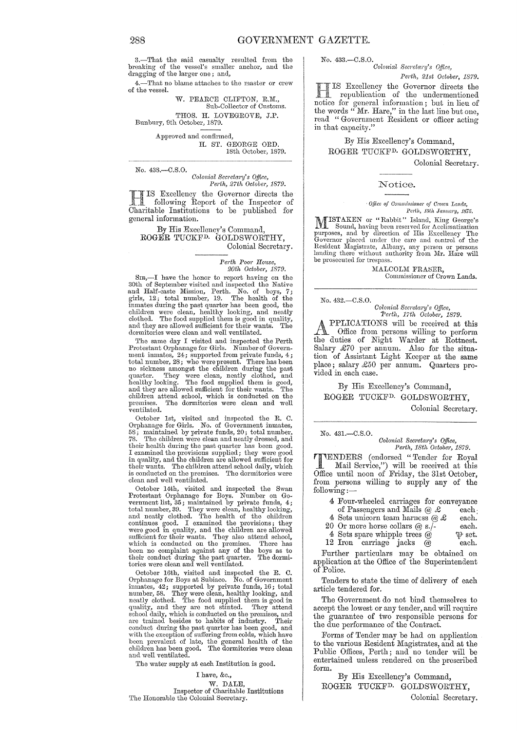3.-That the said casualty resulted from the breaking of the vessel's smaller anchor, and the dragging of the larger one; and,

4.-That no blame attaches to the master or crew of the vessel.

W. PEARCE CLIFTON, R.M., Sub-Collector of Customs. THOS. H. LOVEGROVE, J.P.

Bunhury, 9th October, 1879.

Approved and confirmed, H. ST. GEORGE ORD. 18th Octoher, 1879.

No. 438.-C.S.0.

*Oolonial Secretary's Office, Perth, 27th October, 1879.* 

HIS Excellency the Governor directs the following Report of the Inspector of Charitable Institutions to be published for general information.

#### By His Excellency's Command, ROGER TUCKFD. GOLDSWORTHY, Colonial Secretary.

Perth Poor House,

*20th October, 1879.* 

Sm,—I have the honor to report having on the 30th of September visited and inspected the Native and Half-caste Mission, Perth. No. of boys,  $7$ ; agirls,  $12$ ; total number, 19. The health of the immates during the past qu

The same day I visited and inspected the Perth Protestant Orphanage for Girls. Number of Government inmates,  $24$ ; supported from private funds,  $4$ ; total number,  $28$ ; who were present. There has been no sickness amongst the children during the past quarter. They we children attend school, which is conducted on the premises. The dormitories were clean and well  $\stackrel{\text{\scriptsize{\textsf{v}}}}{\text{\scriptsize{\textsf{v}}}}$ entilated.

October 1st, visited and inspected the R. C. Orphanage for Girls. No. of Government inmates, 58; maintained by private funds, 20; total number, 78. The children were clean and neatly dressed, and their health during the past quarter has been good. I examined the provisions supplied; they were good in quality, and the children are allowed sufficient for their wants. The children attend school daily, which is conducted on the premises. The dormitories were clean and well ventilated.

October 14th, visited and inspected the Swan<br>Protestant Orphanage for Boys. Number on Go-<br>vernment list, 35; maintained by private funds, 4;<br>total number, 39. They were clean, healthy looking,<br>and neatly clothed. The healt been no complaint against any of the boys as to their conduct during the past quarter. The dormi-tories were clean and well ventilated.

October 16th, visited and inspected the R. C.<br>Orphanage for Boys at Subiaco. No. of Government<br>inmates,  $42$ ; supported by private funds,  $16$ ; total<br>number,  $58$ . They were clean, healthy looking, and<br>neatly dothed. The children has been good.<br>and well ventilated.

The water supply at each Institution is good.

The Honorable the Colonial Secretary.

I have, &c., W. DALE, Inspector of Charitable Institutions No. 433.-C.S.0. *Oolonial Secl'etary's Office,* 

*Perth, 21st October, 1879.* 

Excellency the Governor directs the republication of the undermentioned for general information; but in lieu of the words" Mr. Hare," in the last line but onc, read "Government Resident or officer acting in that capacity."

By His Excellency's Command, ROGER TUCKFD. GOLDSWORTHY,

Colonial Secretary.

#### Notice.

*Office of Commissioner of Crown Lands, Perth, 1501. Jarmm'y, 1875.* 

MISTAKEN or "Rabbit" Island, King George's<br>Sound, having been reserved for Acclimatization<br>purposes, and by direction of His Excellency The<br>Governor placed under the care and control of the<br>Resident Megistrate, Albany, any

MALCOLM FRASER. Commissioner of Crown Lands.

No. 432.-C.S.0.

*Oolonial Secretary's Office,* 

*Perth, 17th October, 1879.*<br>PPLICATIONS will be received at this **APPLICATIONS** will be received at this Office from persons willing to perform the duties of Night Warder at Rottnest. Salary £70 per annum. Also for the situation of Assistant Light Keeper at the same place; salary £50 per annum. Quarters provided in each case.

By His Excellency's Command, ROGER TUCKFD. GOLDSWORTHY,

Colonial Secretary.

No. 431.-C.S.0.

*Oolonial Secretary's Office, Perth, 18th October, 1879.* 

TENDERS (endorsed "Tender for Royal Mail Service,") will be received at this Office until noon of Friday, the 31st October, from persons willing to supply any of the following ;-

- 4 Four-wheeled carriages for conveyance of Passengers and Mails  $\omega \&$  each.
- 
- 4 Sets unicorn team harness  $@ \&$  each.<br>
0 Or more horse collars  $@ s.'$ -each.
- 20 Or more horse collars @ s./-<br>4 Sets spare whipple trees @  $\qquad \qquad \mathfrak{P}$  set. 4 Sets spare whipple trees  $\overset{\circ}{\omega}$   $\qquad \qquad \mathfrak{P}$  set.<br>2 Iron carriage jacks  $\overset{\circ}{\omega}$  each.
- 12 Iron carriage jacks  $\bar{\omega}$

Further particulars may be obtained on application at the Office of the Superintendent of Police.

Tenders to state the time of delivery of each article tendered for.

The Government do not bind themselves to accept the lowest or any tender, and will require the guarantee of two responsible persons for the due performance of the Contract.

Forms of Tender may be had on application to the various Resident Magistrates, and at the Public Offices, Perth; and no tender will be entertained unless rendered on the prescribed form.

By His Excellency's Command, ROGER TUCKFD. GOLDSWORTHY,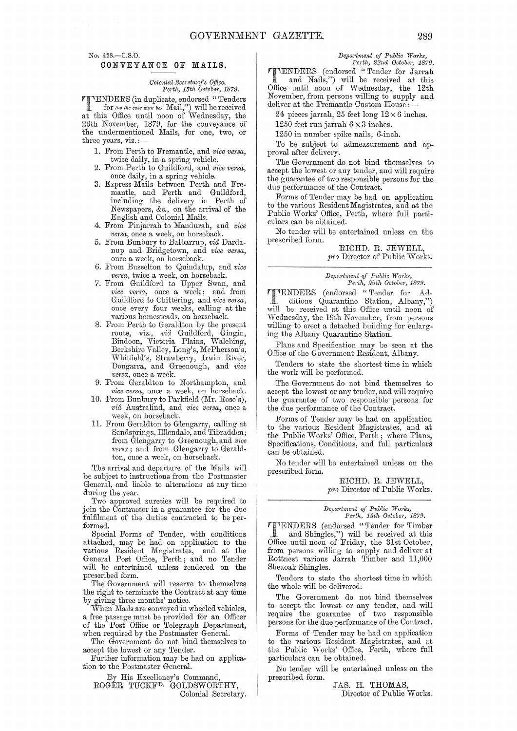No. 428.-C.S.O.

#### CONVEYANCE OF MAILS.

#### *Oolonial Secl'etwty's Office,*   $Perth, 15th$  October, 1879.

**TENDERS** (in duplicate, endorsed "Tenders<br>for *(as the case may be)* Mail,") will be received<br>of this Office until poop of Wednesday, the at this Office until noon of Wednesday, the 26th November, 1879, for the conveyance of the undermentioned Mails, for one, two, or three years, viz. :-

- 1. From Perth to Fremantle, and *vice versa*, twice daily, in a spring vehicle.
- 2. From Perth to Guildford, and *vice versa*, once daily, in a spring vehicle.
- 3. Express Mails between Perth and Fremantle, and Perth and Guildford, including the delivery in Perth of Newspapers, &c., on the arrival of the English and Colonial Mails.
- 4. From Pinjarrah to Mandurah, and *vice versa,* once a week, on horseback.
- 5. From Bunbury to Balbarrup, *via* Dardanup and Bridgetown, and *vice versa*, once a week, on horseback.
- 6. From Busselton to Quindalup, and *vice versa,* twice a week, on horseback.
- 7. From Guildford to Upper Swan, and *vice versa*, once a week; and from Guildford to Chittering, and vice versa, once every four weeks, calling at the various homesteads, on horseback.
- 8. From Perth to Geraldton by the present route, viz., *via* Guildford, Gingin, Bindoon, Victoria Plains, Walebing, Berkshire Valley, Long's, McPherson's, vVhitfield's, Strawberry, Irwin River, Dongarra, and Greenough, and *vice versa,* once a week.
- 9. From Geraldton to Northampton, and *vice versa,* once a week, on horseback.
- 10. From Bunbury to Parkfield (Mr. Rose's),  $vi\hat{a}$  Australind, and *vice versa*, once a week, on horseback.
- 11. From Gemldton to Glengarry, calling at Sandsprings, Ellendale, and Tibradden; from Glengarry to Greenough, and *vice versa*; and from Glengarry to Geraldton, once a week, on horseback.

The arrival and departure of the Mails will be subject to instructions from the Postmaster General, and liable to alterations at any time during the year.

Two approved sureties will be required to join the Contractor in a guarantee for the due fulfilment of the duties contracted to be performed.

Special Forms of Tender, with conditions attached, may he had on application to the various Resident Magistrates, and at the General Post Office, Perth; and no Tender will be entertained unless rendered on the prescribed form.

The Government will reserve to themselves the right to terminate the Contract at any time by giving three months' notice.

When Mails are conveyed in wheeled vehicles, a free passage must be provided for an Officer of the Post Office or Telegraph Department, when required hy the Postmaster GeneraL

The Government do not bind themselves to accept the lowest or any Tender.

Further information may be had on application to the Postmaster GeneraL

By His Excellency's Command,

ROGER TUCKFD. GOLDSWORTHY, Colonial Secretary.  $Department of Public Works,$ *Perth, 22nd October, 1879.* 

**TIMENDERS** (endorsed "Tender for Jarrah and Nails,") will be received at this Office until noon of Wednesday, the 12th November, from persons willing to supply and deliver at the Fremantle Custom House:

24 pieces jarrah, 25 feet long  $12 \times 6$  inches.

1250 feet run jarrah  $6 \times 3$  inches.

1250 in number spike nails, 6-inch.

To be subject to admeasurement and approval after delivery.

The Government do not bind themselves to accept the lowest or any tender, and will require the guarantee of two responsible persons for the due performance of the Contract.

Forms of Tender may he had on application to the various Resident Magistrates, and at the Public Works' Office, Perth, where full particulars can be obtained.

No tender will be entertained unless on the prescrihed form.

> RICHD. R. JEWELL, *pro* Director of Public Works.

#### *Department of Public Works, Perth, 25th Octobej', 1879.*

**TTENDERS** (endorsed "Tender for Ad-<br>
ditions Quarantine Station, Albany,") will be received at this Office until noon of Wednesday, the 19th November, from persons willing to erect a detached building for enlarging the Albany Quarantine Station.

Plans and Specification may he seen at the Office of the Government Resident, Alhany.

Tenders to state the shortest time in which the work will be performed.

The Government do not bind themselves to accept the lowest or any tender, and will require the guarantee of two responsible persons for the due performance of the Contract.

Forms of Tender may be had on application to the various Resident Magistrates, and at the Public Works' Office, Perth; where Plans, Specifications, Conditions, and full particulars can be obtained.

No tender will he entertained unless on the prescribed form.

> RICHD. R. JEWELL, *pro* Director of Public Works.

*Depa/i'tment of Public W01'lcs, PM·tlt, 13th Octobm',* 1879.

'fENDERS (endorsecl "Tender fOT Timher and Shingles,") will be received at this Office until noon of Friday, the 31st October, from persons willing to supply and deliver at Rottnest various Jarrah Timber and 11,000 Sheaoak Shingles.

Tenders to state the shortest time in which the whole will be delivered.

The Government do not bind themselves to accept the lowest or any tender, and will require the guarantee of two responsible persons for the due performance of the Contract.

Forms of Tender may he had on application to the various Resident Magistrates, and at the Public Works' Office, Perth, where full particulars can be obtained.

No tender will be entertained unless on the prescribed form.

JAS. H. THOMAS, Director of Puhlic Works.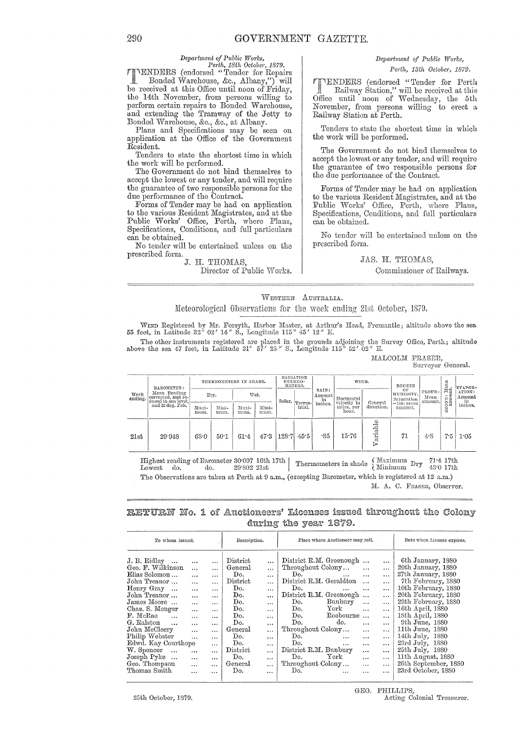#### $Department of Public Works,$

*Perth, 18th October, 1879.*  (enclorsed "Tender for Repairs Bonded Warehouse, &c., Albany,") will be received at this Office until noon of Friday, the 14th November, from persons willing to perform certain repairs to Bonded Warehouse, and extending the Tramway of the Jetty to Bonded Vvarehouse, &c., &c., at Albany.

Plans and Specifications may be seen on application at the Office of the Government Resident.

Tenders to state the shortest time in which the work will be performed.

The Government do not bind themselves to accept the lowest or any tender, and will require the guarantee of two responsible persons for the due performance of the Contract.

Forms of Tender may be had on application to the various Resident Magistrates, and at the Public Works' Office, Perth, where Plans, Specifications, Conditions, and full particulars can be obtained.

No tender will be entertained unless on the prescribed form.

# J. H. THOMAS,

Director of Public Works.

# *Depa:dtnent of Public Works,*

#### *Perth, 13th October, 1879.*

(endorsed "Tender for Perth Railway Station," will be received at this Office until noon of Wednesday, the 5th November, from persons willing to erect a Railway Station at Perth.

Tenders to state the shortest time in which the work will be performed.

The Government do not bind themselves to accept the lowest or any tender, and will require the guarantee of two responsible persons for the due performance of the Contract.

Forms of Tender may be had on application to the various Resident Magistrates, and at the Public Works' Office, Perth, where Plans, Specifications, Conditions, and full particulars can be obtained.

No tender will bo entertained unless on the prescribed form.

### JAS. H. Commissioncr of Railways.

#### WESTERN AUSTRALIA.

Meteorological Observations for the week ending 21st October, 1879.

WIND Registered by Mr. Forsyth, Harbor Master, at Arthur's Head, Fremantle; altitude above the sea 55 feet, in Latitude 32° 02' 14" S., Longitude 115° 45' 12" E.

The other instruments registered are placed in the grounds adjoining the Survey Office, Perth; altitude above the sea 47 feet, in Latitude 31° 57' 25" S., Longitude 115° 52' 02" E.

MALCOLM FRASER, Surveyor General.

| Week<br>ending.                                                                                                                                                                | BAROMETER:<br>Mean Reading<br>corrected, and re-<br>duced to sea level, | THERMOMETERS IN SHADE. |               |               |               |       |                                | RADIATION<br>THERMO-<br>METERS. |                           | WIND.                 | DEGREE                        |                           |                        | FVAPOR-          |
|--------------------------------------------------------------------------------------------------------------------------------------------------------------------------------|-------------------------------------------------------------------------|------------------------|---------------|---------------|---------------|-------|--------------------------------|---------------------------------|---------------------------|-----------------------|-------------------------------|---------------------------|------------------------|------------------|
|                                                                                                                                                                                |                                                                         | Drv.                   |               | Wet.          |               |       | $\epsilon$ Solar.<br> Terres-l | RAIN:<br>Amount<br>in           | Horizontal<br>velocity in |                       | OF<br>HUMIDITY.<br>Saturation | CLOUD:<br>Mean<br>amount. | OZONE: Mean<br>amount. | ATION:<br>Amount |
|                                                                                                                                                                                | and 32 deg. Fah.                                                        | Maxi-<br>mum.          | Mini-<br>mum. | Maxi-<br>mum. | Mini-<br>mum. |       | trial.                         | inches.                         | miles, per<br>hour.       | General<br>direction. | $=160$ : mean<br>amount.      |                           |                        | in<br>inches.    |
| 21st                                                                                                                                                                           | 29.948                                                                  | 68.0                   | 50.1          | 61.4          | 47.3          | 128.7 | 45.5                           | -85                             | 15.76                     | đ)<br>rigia<br>Ŧ,     | 71                            | 4.8                       | 75                     | 1.05             |
| Maximum<br>Highest reading of Barometer 30.097 16th 17th [<br>71.417th<br>Thermometers in shade<br>Dry<br><b>Minimum</b><br>49.0 174<br>90.009.97 <sub>0</sub><br>Tamont da da |                                                                         |                        |               |               |               |       |                                |                                 |                           |                       |                               |                           |                        |                  |

Lowest do. do.  $29.802 21$ st  $\left| \right|$  Indimediately in share Minimum  $^{11}$ y  $43.0 17$ th The Observations are taken at Perth at 9 a.m., (excepting Barometer, which is registered at 12 a.m.) M. A. C. FRASER, Observer.

# RETURN No. 1 of Auctioneers' Licenses issued throughout the Colony during the year 1879.

| District<br>J. B. Ridley<br>$\cdots$<br>$\cdots$<br>$\cdots$                                                                                                                                                                                                                                                                                                                                                                                                                                                                                                                                                                                                                                                                                                                                                                                                                                                                                                                                                                                               |                                                                                                                                                                                                                                                                                                                                                                                                                                                                                                                                                                                                                                                                                                                                                                       |                                                                                                                                                                                                                                                                                                                                                                       |
|------------------------------------------------------------------------------------------------------------------------------------------------------------------------------------------------------------------------------------------------------------------------------------------------------------------------------------------------------------------------------------------------------------------------------------------------------------------------------------------------------------------------------------------------------------------------------------------------------------------------------------------------------------------------------------------------------------------------------------------------------------------------------------------------------------------------------------------------------------------------------------------------------------------------------------------------------------------------------------------------------------------------------------------------------------|-----------------------------------------------------------------------------------------------------------------------------------------------------------------------------------------------------------------------------------------------------------------------------------------------------------------------------------------------------------------------------------------------------------------------------------------------------------------------------------------------------------------------------------------------------------------------------------------------------------------------------------------------------------------------------------------------------------------------------------------------------------------------|-----------------------------------------------------------------------------------------------------------------------------------------------------------------------------------------------------------------------------------------------------------------------------------------------------------------------------------------------------------------------|
| Geo. F. Wilkinson<br>General<br>$\cdots$<br>$\cdots$<br>$\cdots$<br>Elias Solomon<br>Do.<br>$\ddotsc$<br>$\cdots$<br>$\cdots$<br>$\rm District$<br>John Treanor<br>$\cdots$<br>$\cdots$<br>$\cdots$<br>Henry Gray<br>Do.<br>$\cdots$<br>$\cdots$<br>$\cdots$<br>John Treanor<br>Do.<br>$\cdots$<br>$\cdots$<br>$\cdots$<br>James Moore<br>Do.<br>$\cdots$<br>$\cdots$<br>$\cdots$<br>Chas. S. Monger<br>Do.<br>$\cdots$<br>$\cdots$<br>$\cdots$<br>F. McRae<br>Do.<br>$\ddotsc$<br>$\cdots$<br>$\cdots$<br>$\cdots$<br>G. Ralston<br>Do.<br>$\ddotsc$<br>$\cdots$<br>$\cdots$<br>$\cdots$<br>John McCleery<br>General<br>$\cdots$<br>$\cdots$<br>$\cdots$<br>Philip Webster<br>Do.<br>$\ddotsc$<br>$\cdots$<br>$\cdots$<br>Edwd. Kay Courthope<br>Do.<br>$\cdots$<br>$\cdots$<br>W. Spencer<br>District<br>$\cdots$<br>$\cdots$<br>$\cdots$<br>$\cdots$<br>Joseph Pyke<br>Do.<br>$\ddotsc$<br>$\cdots$<br>$\cdots$<br>$\cdots$<br>Geo. Thompson<br>General<br>$\cdots$<br>$\cdots$<br>$\cdots$<br>Thomas Smith<br>Do.<br>$\ddotsc$<br>$\cdots$<br>$\cdots$ | District R.M. Greenough<br>$\cdots$<br>Throughout Colony<br>$\cdots$<br>$\cdots$<br>Do.<br>$\cdots$<br>$\cdots$<br>$\cdots$<br>District R.M. Geraldton<br>$\cdots$<br>Do.<br>$\cdots$<br>$\cdots$<br>$\cdots$<br>District R.M. Greenough<br>$\cdots$<br>Bunbury<br>Do.<br>$\cdots$<br>$\cdots$<br>${\rm York}$<br>Do.<br>$\ddotsc$<br>$\cdots$<br>Do.<br>Roebourne<br>$\sim$<br>$\cdots$<br>do.<br>Do.<br>$\cdots$<br>$\cdots$<br>Throughout Colony<br>$\ddotsc$<br>$\ddotsc$<br>Do.<br>$\cdots$<br>$\cdots$<br>$\cdots$<br>Do.<br>$\ddotsc$<br>$\cdots$<br>$\cdots$<br>District R.M. Bunbury<br>$\cdots$<br>$\cdots$<br>$\operatorname{Tork}$<br>Do.<br>$\cdots$<br>$\cdots$<br>Throughout Colony<br>$\cdots$<br>$\cdots$<br>Do.<br>$\cdots$<br>$\cdots$<br>$\cdots$ | 6th January, 1880<br>20th January, 1880<br>27th January, 1880<br>7th February, 1880<br>10th February, 1880<br>20th February, 1880<br>29th February, 1880<br>16th April, 1880<br>18th April, 1880<br>9th June, 1880<br>11th June, 1880<br>14th July, 1880<br>$23rd$ July, $1880$<br>25th July, 1880<br>11th August, 1880<br>26th September, 1880<br>23rd October, 1880 |

25th October, 1879.

GEO. PHILLIPS, Acting Colonial Treasurer.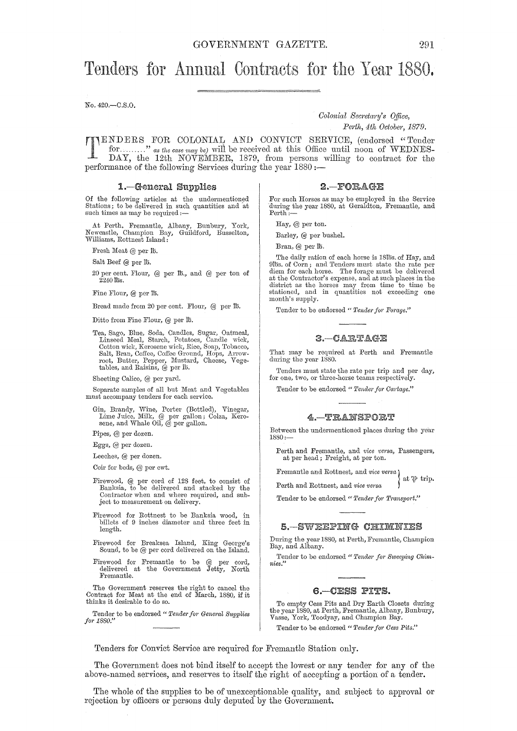# Tenders for Annual Contracts for the Year 1880.

No. 420.-C.S.O.

*Colonial Secretary's Office,* 

*Perth, 4th October, 1879.* 

TENDERS FOR COLONIAL AND CONVICT SERVICE, (endorsed "Tender for........." as the case may be) will be received at this Office until noon of WEDNES-DAY, the 12th NOVEMBER, 1879, from persons willing to contract for the for ........." *as the case may be*) will be received at this Office until noon of WEDNES-DAY, the 12th NOVEMBER, 1879, from persons willing to contract for the performance of the following Services during the year 1880 :-

#### 1.-General Supplies

Of the following articles at the undermentioned<br>Stations; to be delivered in such quantities and at<br>such times as may be required :-

At Perth. Fremautle, Albany, Bunbury, York, Newcastle, Champion Bay, Guildford, Busselton, Williams, Rottnest Island:

Fresh Meat @ per lb.

Salt Beef @ per ID.

20 per cent. Flour, @ per ID., and @ per ton of 224DIDS.

Fine Flour, @ per lb.

Bread made from 20 per cent. Flour, @ per ID.

Ditto from Fine Flour, @ per lb.

Tea, Sago, Blue, Soda, Candles, Sugar, Oatmeal, Linseed lYleal, Starch, Potatoes, Candle wick, Cotton wick, Kerosene wick, Rice, Soap, Tobacco, Salt, Bran, Coffee, Coffee Ground, Hops, Arrowroot, Butter, Pepper, Mustard, Cheese, Vegetables, and Raisins, @ per ID.

Sheeting Calico, @ per yard.

Separate samples of all but Meat and Vegetables must accompany tenders for each service.

Gin, Brandy, Wine, Porter (Bottled), Vinegar, Lime Juice, Milk, @ per gallon; Colza, Kerosene, and Whale Oil, @ per gallon.

Pipes, @ per dozen.

Eggs, @ per dozen.

Leeches, @ per dozen.

Coir for beds, @ per cwt.

- Firewood, @ per cord of 128 feet, to consist of Banksia, to be delivered and stacked by the Contractor when and where required, and subject to measurement on delivery.
- Firewood for Rottnest to be Banksia wood, in billets of 9 inches diameter and three feet in length.
- Firewood for Breaksea Island, King George's Sound, to be  $@$  per cord delivered on the Island.
- Firewood for Fremantle to be @ per cord, delivered at the Government Jetty, North Fremantle.

The Government reserves the right to cancel the Contract for Meat at the end of March, 1880, if it thinks it desirable to do so.

Tender to be endorsed " Tender for General Supplies *fo1' 1880."* 

#### $2 - FORAGE$

For such Horses as may be employed in the Service during the year 1880, at Geraldton, Fremantle, and Perth:-

Hay, @ per ton.

Barley, @ per bushel.

Bran, @ per ID.

The daily ration of each horse is 18tbs. of Hay, and 91bs. of Corn; and Tenders must state the rate per diem for each horse. The forage must be delivered at the Contractor's expense, and at such places in the district as the horses may from time to time be stationed, and in quantities not exceeding one month's supply.

Tender to be endorsed " Tender for Forage."

#### $3 - CARTAGZ$

That may be required at Perth and Fremantle during the year 1880.

Tenders must state the rate per trip and per day, for one, two, or three-horse teams respectively.

Tender to be endorsed " Tender for Cartage."

#### 4. TRANSPORT

Between the undermentioned places during the year 1880:-

Perth and Fremantle, and *vice versa,* Passengers, at per head; Freight, at per ton.

Fremantle and Rottnest, and *vice versa}*  at  $\mathcal P$  trip.

Perth and Rottnest, and *vice versa* 

Tender to be endorsed " Tender for Transport."

#### 5 - SWEEPING CHIMNIES

During the year 1880, at Perth, Fremantle, Champion Bay, and Albany.

Tender to be endorsed " Tender for Sweeping Chim*nies."* 

#### G.-CESS PITS.

To empty Cess Pits and Dry Earth Closets during the year 1880, at Perth, Fremantle, Albany, Bunbury, Vasse, York, Toodyay, and Champion Bay.

Tender to be endorsed" *Tenile)'fo)' Cess Pits."* 

Tenders for Convict Service are required for Fremantle Station only.

The Government does not bind itself to accept the lowest or any tender for any of the above-named services, and reserves to itself the right of accepting a portion of a tender.

The whole of the supplies to be of unexceptionable quality, and subject to approval or rejection by officers or persons duly deputed by the Government.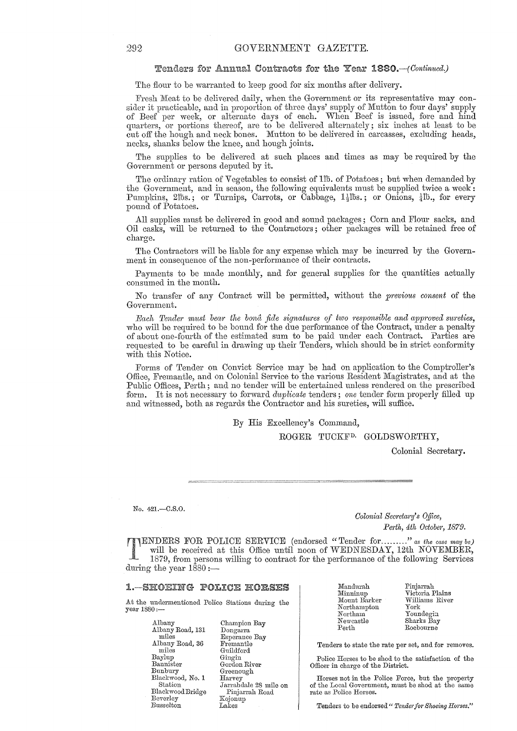#### Tenders for Annual Contracts for the Year 1880.-(Continued.)

The flour to be warranted to keep good for six months after delivery.

Fresh Meat to he delivered daily, when the Government or its representative may consider it practicahle, and in proportion of three days' supply of Mutton to four days' supply of Beef per week, or alternate days of each. "When Beef is issued, fore and hind quarters, or portions thereof, are to he delivered alternately; six inches at least to he cut off the hough and neck hones. Mutton to he delivered in carcasses, excluding heads, necks, shanks below the knee, and hough joints.

The supplies to be delivered at such places and times as may be required by the Government or persons deputed by it.

The ordinary ration of Vegetables to consist of 1<sup>th</sup>. of Potatoes; but when demanded by the Government, and in season, the following equivalents must be supplied twice a week: Pumpkins, 21bs.; or Turnips, Carrots, or Cabbage,  $1\frac{1}{2}$ lbs.; or Onions,  $\frac{1}{4}$ lb., for every pound of Potatoes.

All supplies must be delivered in good and sound packages; Corn and Flour sacks, and Oil casks, will be returned to the Contractors; other packages will be retained free of charge.

The Contractors will be liable for any expense which may be incurred by the Government in consequence of the non-performance of their contracts.

Payments to be made monthly, and for general supplies for the quantities actually consumed in the month.

No transfer of any Contract will be permitted, without the *previous consent* of the Government.

*Each Tender must bear the bona fide signatures of two responsible and approved sureties,* who will be required to be bound for the due performance of the Contract, under a penalty of about one-fourth of the estimated sum to be paid under each Contract. Parties are requested to be careful in drawing up their Tenders, which should be in strict conformity with this Notice.

Forms of Tender on Convict Service may be had on application to the Comptroller's Office, Fremantle, and on Colonial Service to the various Resident Magistrates, and at the Public Offices, Perth; and no tender will be entertained unless rendered on the prescribed form. It is not necessary to forward *dthplicate* tenders; *one* tender form properly filled up and witnessed, both as regards the Contractor and his sureties, will suffice.

By His Excellency's Command,

ROGER TUCKF<sup>D.</sup> GOLDSWORTHY,

Colonial Secretary.

No. 421.-C.S.O.

*Colonial Secretary's Office, Perth, 4th October, 1879.* 

TENDERS FOR POLICE SERVICE (endorsed "Tender for ........." *as the case may be)* will be received at this Office until noon of WEDNESDAY, 12th NOVEMBER, 1879, from persons willing to contract for the performance of the fo will be received at this Office until noon of WEDNESDAY, 12th NOVEMBER, 1879, from persons willing to contract for the performance of the following Services during the year  $1\bar{8}80$  :-

#### **1. - SHOEING POLICE HORSES**

At the undermentioned Police Stations during the year 1880:-

> Albany Albany Road, 131 miles Albany Road, 36 miles Baylup Bannister Bunbury Blackwood, No. 1 Station Blackwood Bridge Beverley Busselton

Champion Bay Dongarra<br>Esperance Bay Fremantle Guildford Gingin Gordon River Greenough Harvey Jarrahdale 28 mile on<br>Pinjarrah Road Kojonup Lakes

| Mandurah           |
|--------------------|
| Minninup           |
| Mount Barker       |
| $\rm{Northampton}$ |
| Northam            |
| ${\rm Newcastle}$  |
| $_{\rm{Perth}}$    |
|                    |

Pinjarrah Victoria Plains Williams River York Youndegin Sharks Bay Roebourne

Tenders to state the rate per set, and for removes.

Police Horses to be shod to the satisfaction of the Officer in charge of the District.

Horses not in the Police Force, but the property of the Local Government, must be shod at the same rate as Police Horses.

Tenders to be endorsed " Tender for Shoeing Horses."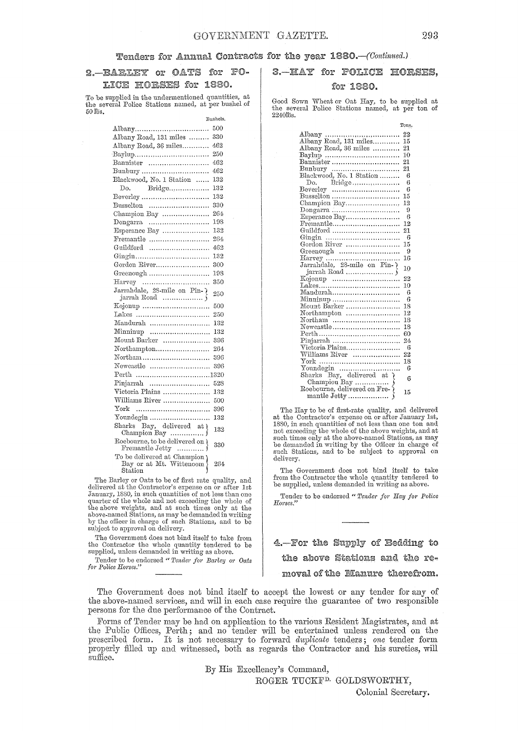# 2. BARLEY or OATS for PO-LICE HORSES for 1880.

To be supplied in the undermentioned quantities, at the several Police Stations named, at per bushel of 50 lbs.

Bushels.

| Albany                                                            | 500 |
|-------------------------------------------------------------------|-----|
| Albany Road, 131 miles                                            | 330 |
| Albany Road, 36 miles                                             | 462 |
| Baylup                                                            | 250 |
| Bannister                                                         | 462 |
| Bunbury                                                           | 462 |
| Blackwood, No. 1 Station                                          | 132 |
| Do. Bridge                                                        | 132 |
| Beverley                                                          | 132 |
| Busselton                                                         | 330 |
| Champion Bay                                                      | 264 |
| $Dongarra$                                                        | 198 |
| Esperance Bay                                                     | 132 |
| Fremantle                                                         | 264 |
| Guildford                                                         | 462 |
|                                                                   | 132 |
| Gordon River                                                      | 300 |
| Greenough                                                         | 198 |
| $\text{Harvey}$                                                   | 350 |
| Jarrahdale, 28-mile on Pin-7                                      | 250 |
| jarrah Road $\,\,\ldots\ldots\ldots\ldots\ldots\,$ $\,$ $\,$ $\,$ |     |
| Kojonup                                                           | 500 |
| <b><i>Takes</i></b>                                               | 250 |
| Mandurah                                                          | 132 |
| $\text{Minminup}$                                                 | 132 |
| Mount Barker                                                      | 396 |
| Northampton                                                       | 264 |
| Northam                                                           | 396 |
| Newcastle                                                         | 396 |
| Perth 1320                                                        |     |
| Pinjarrah                                                         | 528 |
| Victoria Plains                                                   | 132 |
| Williams River                                                    | 500 |
| ${\rm York}$                                                      | 396 |
| Youndegin                                                         | 132 |
| Sharks Bay, delivered at Champion Bay                             | 132 |
| Roebourne, to be delivered on )<br>Fremantle Jetty                | 330 |
| To be delivered at Champion<br>Bay or at Mt. Wittencom            | 264 |
| Station                                                           |     |

The Barley or Oats to be of first rate quality, and delivered at the Contractor's expense on or after 1st January, 1880, in such quantities of not less than one<br>quarter of the whole and not exceeding the whole of<br>the above weights, and at such times only at the<br>above-named Stations, as may be demanded in writing<br>by the officer subject to approval on delivery.

The Government does not bind itself to take from the Contractor the whole quantity tendered to be supplied, unless demanded in writing as above.

Tender to be endorsed " Tender for Barley or Oats  $for$  Police Horses."

# 3. HAY for POLICE HORSES,

### for 1880.

Good Sown Wheat or Oat Hay, to be supplied at the several Police Stations named, at per ton of 2240ms.

|                                                                 | Tons. |
|-----------------------------------------------------------------|-------|
|                                                                 | 22    |
|                                                                 | 15    |
| Albany Road, 36 miles                                           | 21    |
|                                                                 | 10    |
| Bannister                                                       | 21    |
|                                                                 | 21    |
| Bunbury<br>Blackwood, No. 1 Station                             | -6    |
|                                                                 | 6     |
|                                                                 | 6     |
| Busselton                                                       | 15    |
| Champion $\mathrm{Bay}, \ldots, \ldots, \ldots, \ldots, \ldots$ | 12    |
|                                                                 | 9     |
| Esperance Bay                                                   | 6     |
| $F$ remantle                                                    | 12    |
| Guildford                                                       | 21    |
|                                                                 | 6     |
| Gordon River                                                    | 15    |
| Greenough                                                       | -9    |
|                                                                 | 16    |
| Jarrahdale, 28-mile on Pin-                                     |       |
|                                                                 | 10    |
|                                                                 | 22    |
| Lakes                                                           | 10    |
| Mandurah                                                        | - 6   |
| Minninup                                                        | -6    |
| Mount Barker                                                    | 18    |
| Northampton                                                     | 12    |
| Northam                                                         | 18    |
| Newcastle                                                       | 18    |
|                                                                 | 60    |
| Pinjarrah                                                       | 24    |
| Victoria Plains                                                 | - 6   |
| Williams River                                                  | 22    |
|                                                                 | 18    |
|                                                                 | 6     |
| Youndegin<br>Sharks Bay, delivered at {                         |       |
|                                                                 | 6     |
|                                                                 |       |
| mantle Jetty                                                    | 15    |
|                                                                 |       |

The Hay to be of first-rate quality, and delivered at the Contractor's expense on or after January 1st, 1880, iu such quantities of not less than one ton and not exceeding the whole of the above weights, and at such times only at the above-named Stations, as may be demanded in writing by the Officer in charge of such Stations, and to be subject to approval on delivery,

The Government does not bind itself to take from the Contractor the whole quantity tendered to be supplied, unless demanded in writing as above.

Tender to be endorsed "Tender for Hay for Police Horses.'

4.—For the Supply of Bedding to the above Stations and the removal of the Manure therefrom.

The Government does not bind itself to accept the lowest or any tender for any of the above-named services, and will in each case require the guarantee of two responsible persons for the due performance of the Contract.

Forms of Tender may be had on application to the various Resident Magistrates, and at the Public Offices, Perth; and no tender will be entertained unless rendered on the prescribed form. It is not necessary to forward *duplicate* tenders; *one* tender form properly filled up and witnessed, both as regards the Contractor and his sureties, will suffice.

By His Excellency'S Command,

ROGER TUCKF<sup>D.</sup> GOLDSWORTHY,

Colonial Secretary.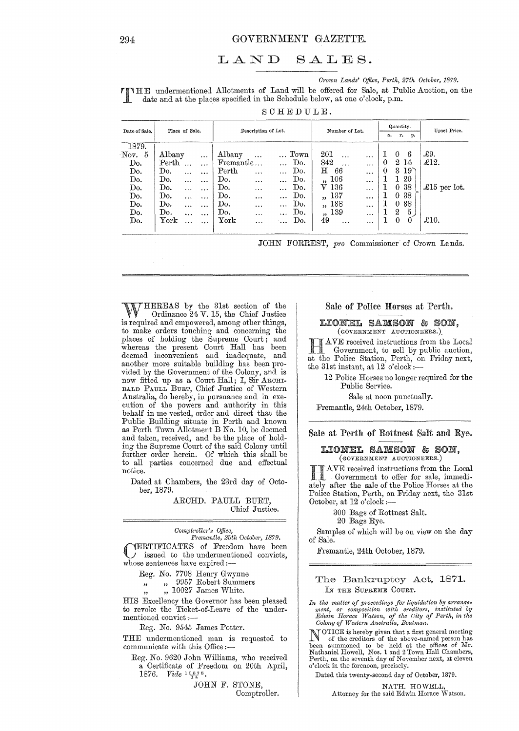#### LAND  $SALES.$

Crown Lands' Office, Perth, 27th October, 1879.

**TIME** undermentioned Allotments of Land will be offered for Sale, at Public Auction, on the date and at the places specified in the Schedule below, at one o'clock, p.m.

SCHEDULE.

|          | Place of Sale.<br>Date of Sale. |           |           |                     |           |           |                |                         |          |             |          | Quantity.        |                 | Upset Price.  |
|----------|---------------------------------|-----------|-----------|---------------------|-----------|-----------|----------------|-------------------------|----------|-------------|----------|------------------|-----------------|---------------|
|          |                                 |           |           | Description of Lot. |           |           | Number of Lot. |                         |          | r. p.<br>а. |          |                  |                 |               |
| 1879.    |                                 |           |           |                     |           |           |                |                         |          |             |          |                  |                 |               |
| Nov. $5$ | $\lambda$ lbany                 |           | $\cdots$  | Albany              | $\ddotsc$ |           | $\ldots$ Town  | 201                     |          | $\cdots$    | 1        | 0                | 6               | £9.           |
| Do.      | $\operatorname{Perth}$          |           | $\cdots$  | Fremantle           |           |           | Do.            | 842                     | $\cdots$ |             | 0        |                  | 2 14            | $\pounds$ 12. |
| Do.      | Do.                             | $\ddotsc$ | $\cdots$  | Perth               | $\cdots$  |           | Do.            | н                       | 66       | $\cdots$    | $\bf{0}$ | $3 -$            | $19^{\circ}$    |               |
| Do.      | Do.                             | $\cdots$  | $\cdots$  | Do.                 | $\cdots$  | $\ddotsc$ | Do.            | ,, 106                  |          | $\ddotsc$   |          | L                | 20              |               |
| Do.      | Do.                             | $\cdots$  | $\cdots$  | Do.                 | $\cdots$  | .         | Do.            | V <sub>136</sub>        |          | $\cdots$    |          |                  | 0 <sub>38</sub> | £15 per lot.  |
| Do.      | Do.                             | $\ddotsc$ | $\ddotsc$ | Do.                 | $\cdots$  | $\cdots$  | Do.            | $\overline{\mathbf{1}}$ | 137      | $\cdots$    |          | 0                | 38              |               |
| Do.      | Do.                             | $\ddotsc$ | $\cdots$  | Do.                 |           | $\cdots$  | Do.            | 53                      | 138      | $\cdots$    |          | $\theta$         | 38              |               |
| Do.      | Do.                             | $\ddotsc$ | $\cdots$  | Do.                 | $\cdots$  | $\cdots$  | Do.            | ,, 139                  |          | $\cdots$    |          | $\boldsymbol{2}$ | 5,              |               |
| Do.      | ${\rm York}$                    | $\cdots$  |           | ${\bf York}$        | $\cdots$  | $\cdots$  | Do.            | 49                      | $\cdots$ |             |          | $\theta$         | $\bf{0}$        | $\pounds10.$  |
|          |                                 |           |           |                     |           |           |                |                         |          |             |          |                  |                 |               |

JOHN FORREST, pro Commissioner of Crown Lands.

THEREAS by the 31st section of the Ordinance 24 V. 15, the Chief Justice is required and empowered, among other things, to make orders touching and concerning the places of holding the Supreme Court; and whereas the present Court Hall has been<br>deemed inconvenient and inadequate, and<br>another more suitable building has been provided by the Government of the Colony, and is now fitted up as a Court Hall; I, Sir ARCHIBALD PAULL BURT, Chief Justice of Western Australia, do hereby, in pursuance and in execution of the powers and authority in this<br>behalf in me vested, order and direct that the Public Building situate in Perth and known as Perth Town Allotment B No. 10, be deemed and taken, received, and be the place of holding the Supreme Court of the said Colony until further order herein. Of which this shall be to all parties concerned due and effectual notice.

Dated at Chambers, the 23rd day of October, 1879.

> ARCHD. PAULL BURT, Chief Justice.

Comptroller's Office,<br>Fremantle, 25th October, 1879. YERTIFICATES of Freedom have been  $J$  issued to the undermentioned convicts, whose sentences have expired:-

Reg. No. 7708 Henry Gwynne

" 9957 Robert Summers  $, 1$ 

 $\ldots$  10027 James White.

HIS Excellency the Governor has been pleased to revoke the Ticket-of-Leave of the undermentioned convict:-

Reg. No. 9545 James Potter.

THE undermentioned man is requested to communicate with this Office :-

Reg. No. 9620 John Williams, who received a Certificate of Freedom on 20th April, 1876. *Vide*  $\frac{10875}{4}$ .

> JOHN F. STONE, Comptroller.

#### Sale of Police Horses at Perth.

#### LIONEL SAMSON & SON, (GOVERNMENT AUCTIONEERS.)

AVE received instructions from the Local Government, to sell by public auction, at the Police Station, Perth, on Friday next, the 31st instant, at 12 o'clock: $-$ 

12 Police Horses no longer required for the Public Service.

Sale at noon punctually.

Fremantle, 24th October, 1879.

Sale at Perth of Rottnest Salt and Rye.

#### LIONEL SAMSON & SON. (GOVERNMENT AUCTIONEERS.)

AVE received instructions from the Local Government to offer for sale, immediately after the sale of the Police Horses at the Police Station, Perth, on Friday next, the 31st October, at 12 o'clock :-

300 Bags of Rottnest Salt.

20 Bags Rye.

Samples of which will be on view on the day of Sale.

Fremantle, 24th October, 1879.

### The Bankruptcy Act, 1871. IN THE SUPREME COURT.

In the matter of proceedings for liquidation by arrangement, or composition with creditors, instituted by<br>Edwin Horace Watson, of the City of Perth, in the Colony of Western Australia, Boatman.

NOTICE is hereby given that a first general meeting<br>of the creditors of the indices No of the creditors of the above-named person has<br>been summoned to be held at the offices of Mr.<br>Nathaniel Howell, Nos. 1 and 2 Town Hall Chambers, Perth, on the seventh day of November next, at eleven o'clock in the forenoon, precisely.

Dated this twenty-second day of October, 1879.

NATH. HOWELL, Attorney for the said Edwin Horace Watson.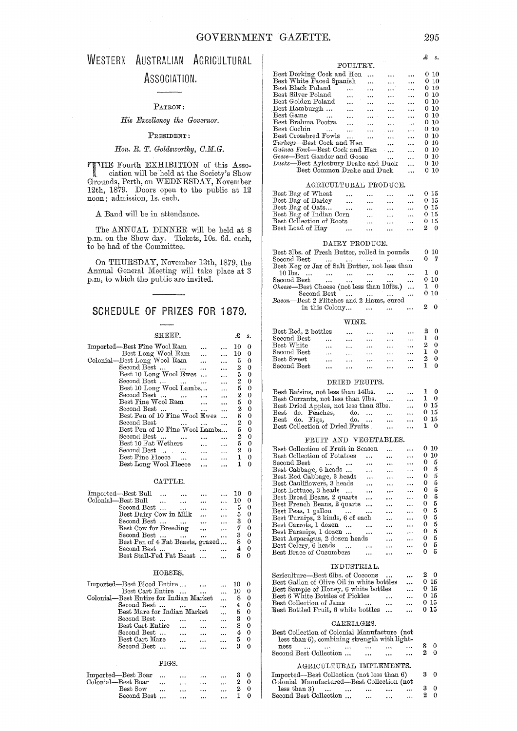# WESTERN AUSTRALIAN AGRICULTURAL ASSOCIATION.

#### PATRON:

# *His Excellency the Governor.*

#### PRESIDENT:

# *Hon. R. T. Goldsw01·thy, O.M.G.*

**THE Fourth EXHIBITION of this Association will be held at the Society's Show** Grounds, Perth, on WEDNESDAY, November 12th, 1879. Doors open to the public at 12 noon; admission, Is. each.

#### A Band will be in attendance.

The ANNIJAL DINNER will be held at 8 p.m. on the Show day. Tickets, 10s. 6d. each, to be had of the Committee.

On THURSDAY, November 13th, 1879, the Annual General Meeting will take place at 3 p.m, to which the public are invited.

# SCHEDULE OF PRIZES **FOR 1879.**

#### SHEEP.

£ *s.* 

| Imported—Best Fine Wool Ram              |           |           | 10 | О |
|------------------------------------------|-----------|-----------|----|---|
| Best Long Wool Ram                       |           |           | 10 | 0 |
| Colonial—Best Long Wool Ram              |           |           | 5  | 0 |
| Second Best<br>$\sim$ $\sim$ $\sim$      |           | $\ddotsc$ | 2  | 0 |
| Best 10 Long Wool Ewes                   | $\ddotsc$ | $\ddotsc$ | 5  | 0 |
| Second Best                              | $\cdots$  | $\ddotsc$ | 2  | 0 |
| Best 10 Long Wool Lambs                  |           | $\sim$    | 5  | 0 |
| Second Best                              |           |           | 2  | 0 |
| Best Fine Wool Ram                       |           |           | 5  | 0 |
| Second Best<br>$\cdot$ $\cdot$           |           |           | 2  | 0 |
| Best Pen of 10 Fine Wool Ewes            |           | .         | 5  | 0 |
| Second Best<br>$\cdots$                  |           |           | 2  | 0 |
| Best Pen of 10 Fine Wool Lambs           |           |           | 5  | 0 |
| Second Best                              |           |           | 2  | 0 |
| Best 10 Fat Wethers                      |           |           | 5  | 0 |
| Second Best<br>$\sim$                    |           | .         | 2  | 0 |
| Best Fine Fleece<br>$\sim$ $\sim$ $\sim$ |           |           | 1  | 0 |
| Best Long Wool Fleece                    |           |           |    | 0 |
|                                          |           |           |    |   |

#### CATTLE.

| Imported—Best Bull<br>$\cdots$            |                      | 10 |          |
|-------------------------------------------|----------------------|----|----------|
| Colonial-Best Bull                        | $\cdots$<br>$\cdots$ | 10 | 0        |
| Second Best<br>$\overline{a}$<br>$\cdots$ | $\ddotsc$            | 5  | 0        |
| Best Dairy Cow in Milk                    | $\ddotsc$            | 5  | 0        |
| Second Best                               | $\cdots$             | з  | 0        |
| Best Cow for Breeding<br>$\cdots$         | $\ddotsc$            | 7  | $\Omega$ |
| Second Best<br>$\mathbf{r}$<br>$\cdots$   | $\cdots$             | з  | 0        |
| Best Pen of 4 Fat Beasts, grazed          |                      | 8  | 0        |
| Second Best<br>$\ddotsc$                  |                      |    |          |
| Best Stall-Fed Fat Beast                  |                      | 5  |          |
|                                           |                      |    |          |

#### HORSES.

| Imported—Best Blood Entire             |    |  |
|----------------------------------------|----|--|
| Best Cart Entire<br>$\sim$             | 10 |  |
| Colonial—Best Entire for Indian Market |    |  |
| Second Best<br>$\cdots$                |    |  |
| Best Mare for Indian Market            | 5  |  |
| Second Best                            | З  |  |
| Best Cart Entire                       |    |  |
| Second Best                            |    |  |
| Best Cart Mare                         | 5  |  |
| Second Best                            |    |  |

#### PIGS.

| Imported—Best Boar        |          | $\cdots$  | $\cdots$ | $\cdots$ | 30 |     |
|---------------------------|----------|-----------|----------|----------|----|-----|
| Colonial—Best Boar        | $\cdots$ | $\ddotsc$ |          | $\cdots$ |    | -0  |
| $\operatorname{Best}$ Sow |          | $\ddotsc$ | $\cdots$ | $\cdots$ |    | - 0 |
| Second Best               |          |           | $\cdots$ | $\cdots$ |    | ∩   |

| Best Dorking Cock and Hen<br>$\cdots$<br>$\ddotsc$                                    | $\ddotsc$ | $0\,10$         |
|---------------------------------------------------------------------------------------|-----------|-----------------|
| Best White Faced Spanish<br>$\ddotsc$<br>$\ddotsc$                                    | $\cdots$  | 0 10            |
| Best Black Poland<br>المعدد<br>$\cdots$                                               | $\ddotsc$ | $0\,10$         |
| Best Silver Poland<br>$\ddotsc$<br><br>$\ddotsc$                                      | $\ddotsc$ | $0\,10$         |
| Best Golden Poland<br>$\cdots$<br>$\ddotsc$<br>$\ddotsc$                              | $\ddotsc$ | 0 10            |
| Best Hamburgh<br>$\ddotsc$<br>$\overline{1}$<br>$\ddotsc$                             | $\ddotsc$ | 010             |
| Best Game<br>$\ddotsc$<br><b>Contract State Street</b><br>$\cdots$                    | $\ddotsc$ | 010             |
| Best Brahma Pootra<br>asset in<br>$\cdots$<br>$\cdots$                                | $\ddotsc$ | 0 10            |
| Best Cochin<br><b>Contract Contract</b><br>$\ddot{\phantom{a}}$<br>$\sim$<br>$\cdots$ |           | 0 <sup>10</sup> |
| Best Crossbred Fowls<br>$\sim 100$ km s $^{-1}$<br>$\cdots$                           | $\ddotsc$ | 010             |
| Turkeys—Best Cock and Hen<br>$\ddotsc$                                                | .         | 010             |
| <i>Guinea Fowl</i> —Best Cock and Hen<br>$\sim$                                       | $\ddotsc$ | 0, 10           |
| Geese—Best Gander and Goose<br>$\ddotsc$                                              | $\ddotsc$ | 010             |
| Ducks-Best Aylesbury Drake and Duck                                                   | $\ddotsc$ | 010             |
| Best Common Drake and Duck                                                            |           | 0 10            |
|                                                                                       |           |                 |

#### AGRICULTURAL PRODUCE.

| Best Bag of Wheat        | $\ddotsc$ | $\cdots$  | $\cdots$ | $\cdots$  |   | 0 <sub>15</sub> |
|--------------------------|-----------|-----------|----------|-----------|---|-----------------|
| Best Bag of Barley       | $\cdots$  | $\ddotsc$ | $\cdots$ | $\cdots$  |   | 0 <sub>15</sub> |
| Best Bag of Oats         | $\cdots$  | $\cdots$  | $\cdots$ | $\ddotsc$ |   | 0 15            |
| Best Bag of Indian Corn  |           | $\ddotsc$ | $\cdots$ | $\cdots$  |   | 0 15            |
| Best Collection of Roots |           | $\cdots$  | $\cdots$ | $\cdots$  |   | 015             |
| Best Load of Hay         | $\cdots$  | $\ddotsc$ | $\cdots$ | $\cdots$  | 2 |                 |

#### DAIRY PRODUCE.

| Best 31bs. of Fresh Butter, rolled in pounds  |           |   | 010        |
|-----------------------------------------------|-----------|---|------------|
| Second Best<br>$\cdots$                       |           | 0 | - 7        |
| Best Keg or Jar of Salt Butter, not less than |           |   |            |
| $10$ lbs.<br>$\cdots$<br>$\cdots$<br>$\cdots$ | $\cdots$  |   | 10         |
| $\mathrm{Second\, Best}$<br>$\ddotsc$         | $\ddotsc$ |   | 010        |
| Cheese—Best Cheese (not less than 10fbs.)     |           |   | $1 \theta$ |
| Second Best                                   | $\ddotsc$ |   | 010        |
| Bacon—Best 2 Flitches and 2 Hams, cured       |           |   |            |
| in this Colony<br>$\cdots$                    |           | 2 |            |

#### WINE.

| Best Red, 2 bottles |           | $\cdots$  | $\cdots$ | $\ddot{\phantom{0}}$ | $\cdots$  |  |
|---------------------|-----------|-----------|----------|----------------------|-----------|--|
| Second Best         | $\cdots$  | $\cdots$  | $\cdots$ |                      |           |  |
| Best White          |           | $\ddotsc$ |          | $\cdots$             | $\ddotsc$ |  |
| Second Best         |           |           | $\cdots$ | $\cdots$             |           |  |
| Best Sweet          |           | $\cdots$  | $\cdots$ | .                    | $\cdots$  |  |
| Second Best         | $\ddotsc$ |           |          |                      |           |  |

#### DRIED FRUITS.

| Best Raisins, not less than 14lbs.<br>$\cdots$  | $\cdots$ | 0    |
|-------------------------------------------------|----------|------|
| Best Currants, not less than 7lbs.<br>$\ddotsc$ | $\cdots$ | - 0  |
| Best Dried Apples, not less than 3lbs.          | $\cdots$ | 0.15 |
| Best do. Peaches, do.<br>$\ddotsc$              | $\cdots$ | 0.15 |
| Best do. Figs,<br>do.<br>$\cdots$               | $\cdots$ | 0.15 |
| Best Collection of Dried Fruits<br>$\ddotsc$    | $\cdots$ | 1 O  |

#### FRUIT AND VEGETABLES.

| Best Collection of Fruit in Season       |                     |           |           | o | -10 |
|------------------------------------------|---------------------|-----------|-----------|---|-----|
| Best Collection of Potatoes              |                     | .         | $\ddotsc$ | 0 | 10  |
| $\rm Second \ Best$<br>$\cdots$ $\cdots$ |                     |           | $\ddotsc$ | 0 | 5   |
| Best Cabbage, 6 heads                    | .                   |           | $\cdots$  | 0 | 5   |
| Best Red Cabbage, 3 heads                |                     |           |           | 0 | 5   |
| Best Cauliflowers, 3 heads               |                     |           | $\cdots$  | 0 | 5   |
| Best Lettuce, 3 heads                    |                     |           | .         | 0 | 5   |
| Best Broad Beans, 2 quarts               | .                   | $\cdots$  |           | 0 | 5   |
| Best French Beans, 2 quarts              | .                   | $\ddotsc$ | $\ddotsc$ | 0 | 5   |
| Best Peas, 1 gallon<br>$\sim$ $\sim$     | $\cdot \cdot \cdot$ | $\ddotsc$ | $\ddotsc$ | 0 | 5   |
| Best Turnips, 2 kinds, 6 of each         |                     |           |           | 0 | 5   |
| Best Carrots, 1 dozen                    |                     |           |           | 0 | 5   |
| Best Parsnips, 1 dozen                   |                     | $\ddotsc$ | $\ddotsc$ | 0 | 5   |
| Best Asparagus, 2 dozen heads            |                     |           | $\cdots$  | 0 | 5   |
| Best Celery, 6 heads                     |                     |           | .         | 0 | 5   |
| Best Brace of Cucumbers                  |                     |           |           | 0 | 5   |
|                                          |                     |           |           |   |     |

#### INDUSTRIAL.

| Sericulture—Best 6lbs, of Cocoons               | $\cdots$             | 20              |
|-------------------------------------------------|----------------------|-----------------|
| Best Gallon of Olive Oil in white bottles       | $\ddotsc$            | 0.15            |
| Best Sample of Honey, 6 white bottles           | $\ddot{\phantom{a}}$ | 0.15            |
| Best 6 White Bottles of Pickles<br>$\ddotsc$    | $\ddotsc$            | 015             |
| Best Collection of Jams<br>$\cdots$<br>$\cdots$ | $\cdots$             | 0 <sub>15</sub> |
| Best Bottled Fruit, 6 white bottles<br>$\cdots$ | $\cdots$             | 0.15            |

#### CARRIAGES.

| Best Collection of Colonial Manufacture (not<br>less than 6), combining strength with light- |                      |          |           |                |             |            |
|----------------------------------------------------------------------------------------------|----------------------|----------|-----------|----------------|-------------|------------|
| ness<br>$\sim$ $\sim$ $\sim$<br>$\cdots$                                                     | $\sim$ $\sim$ $\sim$ | $\cdots$ | $\cdots$  | $\cdots$       | 3           | $^{\circ}$ |
| Second Best Collection                                                                       |                      | $\cdots$ | $\ddotsc$ | $\overline{a}$ | $2^{\circ}$ | $\Omega$   |

# AGRICULTURAL IMPLEMENTS.

| Imported—Best Collection (not less than 6) |          |                             |          |    | 30 |
|--------------------------------------------|----------|-----------------------------|----------|----|----|
| Colonial Manufactured—Best Collection (not |          |                             |          |    |    |
| $less than 3$<br>$\cdots$                  |          | and the same of the same of | $\cdots$ | 30 |    |
| Second Best Collection                     | $\cdots$ | $\cdots$                    | $\cdots$ | 20 |    |

.£ *s.*